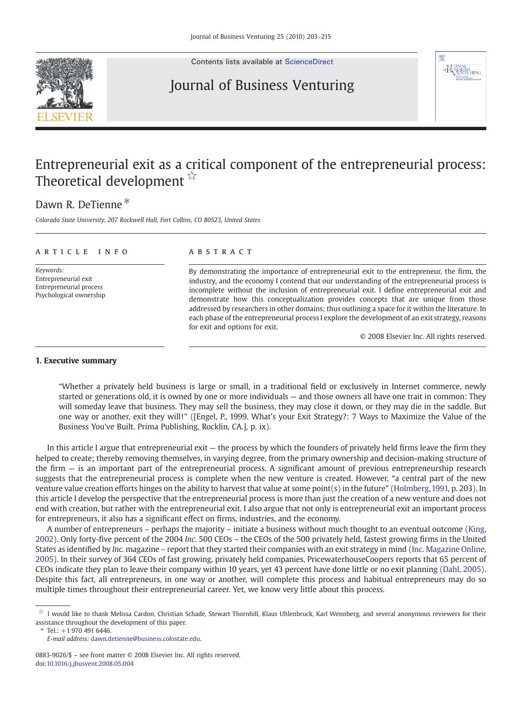

Contents lists available at [ScienceDirect](http://www.sciencedirect.com/science/journal/08839026)

# Journal of Business Venturing



# Entrepreneurial exit as a critical component of the entrepreneurial process: Theoretical development  $\mathbb{X}$

## Dawn R. DeTienne<sup>\*</sup>

Colorado State University, 207 Rockwell Hall, Fort Collins, CO 80523, United States

#### article info abstract

Keywords: Entrepreneurial exit Entrepreneurial process Psychological ownership

By demonstrating the importance of entrepreneurial exit to the entrepreneur, the firm, the industry, and the economy I contend that our understanding of the entrepreneurial process is incomplete without the inclusion of entrepreneurial exit. I define entrepreneurial exit and demonstrate how this conceptualization provides concepts that are unique from those addressed by researchers in other domains; thus outlining a space for it within the literature. In each phase of the entrepreneurial process I explore the development of an exit strategy, reasons for exit and options for exit.

© 2008 Elsevier Inc. All rights reserved.

#### 1. Executive summary

"Whether a privately held business is large or small, in a traditional field or exclusively in Internet commerce, newly started or generations old, it is owned by one or more individuals — and those owners all have one trait in common: They will someday leave that business. They may sell the business, they may close it down, or they may die in the saddle. But one way or another, exit they will!" ([Engel, P., 1999. What's your Exit Strategy?: 7 Ways to Maximize the Value of the Business You've Built. Prima Publishing, Rocklin, CA.], p. ix).

In this article I argue that entrepreneurial exit — the process by which the founders of privately held firms leave the firm they helped to create; thereby removing themselves, in varying degree, from the primary ownership and decision-making structure of the firm — is an important part of the entrepreneurial process. A significant amount of previous entrepreneurship research suggests that the entrepreneurial process is complete when the new venture is created. However, "a central part of the new venture value creation efforts hinges on the ability to harvest that value at some point(s) in the future" ([Holmberg, 1991,](#page-11-0) p. 203). In this article I develop the perspective that the entrepreneurial process is more than just the creation of a new venture and does not end with creation, but rather with the entrepreneurial exit. I also argue that not only is entrepreneurial exit an important process for entrepreneurs, it also has a significant effect on firms, industries, and the economy.

A number of entrepreneurs – perhaps the majority – initiate a business without much thought to an eventual outcome ([King,](#page-11-0) [2002](#page-11-0)). Only forty-five percent of the 2004 Inc. 500 CEOs – the CEOs of the 500 privately held, fastest growing firms in the United States as identified by Inc. magazine – report that they started their companies with an exit strategy in mind [\(Inc. Magazine Online,](#page-11-0) [2005](#page-11-0)). In their survey of 364 CEOs of fast growing, privately held companies, PricewaterhouseCoopers reports that 65 percent of CEOs indicate they plan to leave their company within 10 years, yet 43 percent have done little or no exit planning [\(Dahl, 2005\)](#page-11-0). Despite this fact, all entrepreneurs, in one way or another, will complete this process and habitual entrepreneurs may do so multiple times throughout their entrepreneurial career. Yet, we know very little about this process.

 $*$  Tel: +1 970 491 6446

<sup>☆</sup> I would like to thank Melissa Cardon, Christian Schade, Stewart Thornhill, Klaus Uhlenbruck, Karl Wennberg, and several anonymous reviewers for their assistance throughout the development of this paper.

E-mail address: [dawn.detienne@business.colostate.edu](mailto:dawn.detienne@business.colostate.edu).

<sup>0883-9026/\$</sup> – see front matter © 2008 Elsevier Inc. All rights reserved. doi[:10.1016/j.jbusvent.2008.05.004](http://dx.doi.org/10.1016/j.jbusvent.2008.05.004)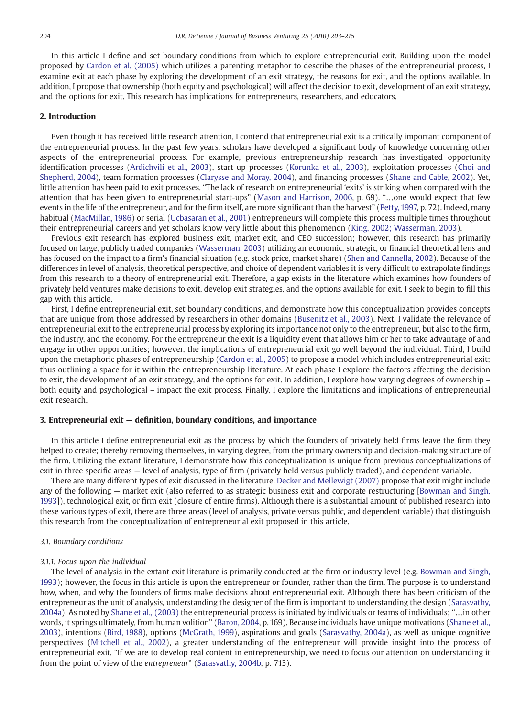In this article I define and set boundary conditions from which to explore entrepreneurial exit. Building upon the model proposed by [Cardon et al. \(2005\)](#page-11-0) which utilizes a parenting metaphor to describe the phases of the entrepreneurial process, I examine exit at each phase by exploring the development of an exit strategy, the reasons for exit, and the options available. In addition, I propose that ownership (both equity and psychological) will affect the decision to exit, development of an exit strategy, and the options for exit. This research has implications for entrepreneurs, researchers, and educators.

#### 2. Introduction

Even though it has received little research attention, I contend that entrepreneurial exit is a critically important component of the entrepreneurial process. In the past few years, scholars have developed a significant body of knowledge concerning other aspects of the entrepreneurial process. For example, previous entrepreneurship research has investigated opportunity identification processes ([Ardichvili et al., 2003](#page-10-0)), start-up processes ([Korunka et al., 2003](#page-11-0)), exploitation processes [\(Choi and](#page-11-0) [Shepherd, 2004\)](#page-11-0), team formation processes [\(Clarysse and Moray, 2004\)](#page-11-0), and financing processes ([Shane and Cable, 2002](#page-12-0)). Yet, little attention has been paid to exit processes. "The lack of research on entrepreneurial 'exits' is striking when compared with the attention that has been given to entrepreneurial start-ups" [\(Mason and Harrison, 2006](#page-11-0), p. 69). "…one would expect that few events in the life of the entrepreneur, and for the firm itself, are more significant than the harvest" [\(Petty, 1997,](#page-12-0) p. 72). Indeed, many habitual ([MacMillan, 1986](#page-11-0)) or serial ([Ucbasaran et al., 2001\)](#page-12-0) entrepreneurs will complete this process multiple times throughout their entrepreneurial careers and yet scholars know very little about this phenomenon [\(King, 2002; Wasserman, 2003\)](#page-11-0).

Previous exit research has explored business exit, market exit, and CEO succession; however, this research has primarily focused on large, publicly traded companies ([Wasserman, 2003\)](#page-12-0) utilizing an economic, strategic, or financial theoretical lens and has focused on the impact to a firm's financial situation (e.g. stock price, market share) [\(Shen and Cannella, 2002](#page-12-0)). Because of the differences in level of analysis, theoretical perspective, and choice of dependent variables it is very difficult to extrapolate findings from this research to a theory of entrepreneurial exit. Therefore, a gap exists in the literature which examines how founders of privately held ventures make decisions to exit, develop exit strategies, and the options available for exit. I seek to begin to fill this gap with this article.

First, I define entrepreneurial exit, set boundary conditions, and demonstrate how this conceptualization provides concepts that are unique from those addressed by researchers in other domains ([Busenitz et al., 2003\)](#page-11-0). Next, I validate the relevance of entrepreneurial exit to the entrepreneurial process by exploring its importance not only to the entrepreneur, but also to the firm, the industry, and the economy. For the entrepreneur the exit is a liquidity event that allows him or her to take advantage of and engage in other opportunities; however, the implications of entrepreneurial exit go well beyond the individual. Third, I build upon the metaphoric phases of entrepreneurship ([Cardon et al., 2005\)](#page-11-0) to propose a model which includes entrepreneurial exit; thus outlining a space for it within the entrepreneurship literature. At each phase I explore the factors affecting the decision to exit, the development of an exit strategy, and the options for exit. In addition, I explore how varying degrees of ownership – both equity and psychological – impact the exit process. Finally, I explore the limitations and implications of entrepreneurial exit research.

#### 3. Entrepreneurial exit — definition, boundary conditions, and importance

In this article I define entrepreneurial exit as the process by which the founders of privately held firms leave the firm they helped to create; thereby removing themselves, in varying degree, from the primary ownership and decision-making structure of the firm. Utilizing the extant literature, I demonstrate how this conceptualization is unique from previous conceptualizations of exit in three specific areas — level of analysis, type of firm (privately held versus publicly traded), and dependent variable.

There are many different types of exit discussed in the literature. [Decker and Mellewigt \(2007\)](#page-11-0) propose that exit might include any of the following — market exit (also referred to as strategic business exit and corporate restructuring [\[Bowman and Singh,](#page-11-0) [1993\]](#page-11-0)), technological exit, or firm exit (closure of entire firms). Although there is a substantial amount of published research into these various types of exit, there are three areas (level of analysis, private versus public, and dependent variable) that distinguish this research from the conceptualization of entrepreneurial exit proposed in this article.

#### 3.1. Boundary conditions

#### 3.1.1. Focus upon the individual

The level of analysis in the extant exit literature is primarily conducted at the firm or industry level (e.g. [Bowman and Singh,](#page-11-0) [1993\)](#page-11-0); however, the focus in this article is upon the entrepreneur or founder, rather than the firm. The purpose is to understand how, when, and why the founders of firms make decisions about entrepreneurial exit. Although there has been criticism of the entrepreneur as the unit of analysis, understanding the designer of the firm is important to understanding the design [\(Sarasvathy,](#page-12-0) [2004a\)](#page-12-0). As noted by [Shane et al., \(2003\)](#page-12-0) the entrepreneurial process is initiated by individuals or teams of individuals; "…in other words, it springs ultimately, from human volition" ([Baron, 2004](#page-11-0), p. 169). Because individuals have unique motivations [\(Shane et al.,](#page-12-0) [2003\)](#page-12-0), intentions ([Bird, 1988\)](#page-11-0), options ([McGrath, 1999](#page-11-0)), aspirations and goals ([Sarasvathy, 2004a\)](#page-12-0), as well as unique cognitive perspectives [\(Mitchell et al., 2002\)](#page-12-0), a greater understanding of the entrepreneur will provide insight into the process of entrepreneurial exit. "If we are to develop real content in entrepreneurship, we need to focus our attention on understanding it from the point of view of the entrepreneur" [\(Sarasvathy, 2004b](#page-12-0), p. 713).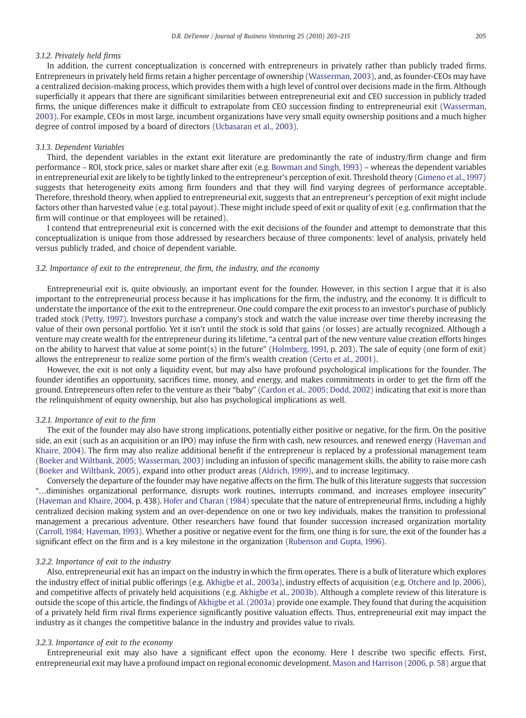#### 3.1.2. Privately held firms

In addition, the current conceptualization is concerned with entrepreneurs in privately rather than publicly traded firms. Entrepreneurs in privately held firms retain a higher percentage of ownership [\(Wasserman, 2003\)](#page-12-0), and, as founder-CEOs may have a centralized decision-making process, which provides them with a high level of control over decisions made in the firm. Although superficially it appears that there are significant similarities between entrepreneurial exit and CEO succession in publicly traded firms, the unique differences make it difficult to extrapolate from CEO succession finding to entrepreneurial exit ([Wasserman,](#page-12-0) [2003](#page-12-0)). For example, CEOs in most large, incumbent organizations have very small equity ownership positions and a much higher degree of control imposed by a board of directors [\(Ucbasaran et al., 2003](#page-12-0)).

#### 3.1.3. Dependent Variables

Third, the dependent variables in the extant exit literature are predominantly the rate of industry/firm change and firm performance – ROI, stock price, sales or market share after exit (e.g. [Bowman and Singh, 1993\)](#page-11-0) – whereas the dependent variables in entrepreneurial exit are likely to be tightly linked to the entrepreneur's perception of exit. Threshold theory [\(Gimeno et al., 1997\)](#page-11-0) suggests that heterogeneity exits among firm founders and that they will find varying degrees of performance acceptable. Therefore, threshold theory, when applied to entrepreneurial exit, suggests that an entrepreneur's perception of exit might include factors other than harvested value (e.g. total payout). These might include speed of exit or quality of exit (e.g. confirmation that the firm will continue or that employees will be retained).

I contend that entrepreneurial exit is concerned with the exit decisions of the founder and attempt to demonstrate that this conceptualization is unique from those addressed by researchers because of three components: level of analysis, privately held versus publicly traded, and choice of dependent variable.

#### 3.2. Importance of exit to the entrepreneur, the firm, the industry, and the economy

Entrepreneurial exit is, quite obviously, an important event for the founder. However, in this section I argue that it is also important to the entrepreneurial process because it has implications for the firm, the industry, and the economy. It is difficult to understate the importance of the exit to the entrepreneur. One could compare the exit process to an investor's purchase of publicly traded stock ([Petty, 1997\)](#page-12-0). Investors purchase a company's stock and watch the value increase over time thereby increasing the value of their own personal portfolio. Yet it isn't until the stock is sold that gains (or losses) are actually recognized. Although a venture may create wealth for the entrepreneur during its lifetime, "a central part of the new venture value creation efforts hinges on the ability to harvest that value at some point(s) in the future" ([Holmberg, 1991,](#page-11-0) p. 203). The sale of equity (one form of exit) allows the entrepreneur to realize some portion of the firm's wealth creation ([Certo et al., 2001\)](#page-11-0).

However, the exit is not only a liquidity event, but may also have profound psychological implications for the founder. The founder identifies an opportunity, sacrifices time, money, and energy, and makes commitments in order to get the firm off the ground. Entrepreneurs often refer to the venture as their "baby" [\(Cardon et al., 2005; Dodd, 2002](#page-11-0)) indicating that exit is more than the relinquishment of equity ownership, but also has psychological implications as well.

#### 3.2.1. Importance of exit to the firm

The exit of the founder may also have strong implications, potentially either positive or negative, for the firm. On the positive side, an exit (such as an acquisition or an IPO) may infuse the firm with cash, new resources, and renewed energy [\(Haveman and](#page-11-0) [Khaire, 2004\)](#page-11-0). The firm may also realize additional benefit if the entrepreneur is replaced by a professional management team [\(Boeker and Wiltbank, 2005; Wasserman, 2003\)](#page-11-0) including an infusion of specific management skills, the ability to raise more cash [\(Boeker and Wiltbank, 2005](#page-11-0)), expand into other product areas [\(Aldrich, 1999\)](#page-10-0), and to increase legitimacy.

Conversely the departure of the founder may have negative affects on the firm. The bulk of this literature suggests that succession "…diminishes organizational performance, disrupts work routines, interrupts command, and increases employee insecurity" [\(Haveman and Khaire, 2004,](#page-11-0) p. 438). [Hofer and Charan \(1984\)](#page-11-0) speculate that the nature of entrepreneurial firms, including a highly centralized decision making system and an over-dependence on one or two key individuals, makes the transition to professional management a precarious adventure. Other researchers have found that founder succession increased organization mortality [\(Carroll, 1984; Haveman, 1993\)](#page-11-0). Whether a positive or negative event for the firm, one thing is for sure, the exit of the founder has a significant effect on the firm and is a key milestone in the organization ([Rubenson and Gupta, 1996\)](#page-12-0).

#### 3.2.2. Importance of exit to the industry

Also, entrepreneurial exit has an impact on the industry in which the firm operates. There is a bulk of literature which explores the industry effect of initial public offerings (e.g. [Akhigbe et al., 2003a\)](#page-10-0), industry effects of acquisition (e.g. [Otchere and Ip, 2006\)](#page-12-0), and competitive affects of privately held acquisitions (e.g. [Akhigbe et al., 2003b](#page-10-0)). Although a complete review of this literature is outside the scope of this article, the findings of [Akhigbe et al. \(2003a\)](#page-10-0) provide one example. They found that during the acquisition of a privately held firm rival firms experience significantly positive valuation effects. Thus, entrepreneurial exit may impact the industry as it changes the competitive balance in the industry and provides value to rivals.

#### 3.2.3. Importance of exit to the economy

Entrepreneurial exit may also have a significant effect upon the economy. Here I describe two specific effects. First, entrepreneurial exit may have a profound impact on regional economic development. [Mason and Harrison \(2006, p. 58\)](#page-11-0) argue that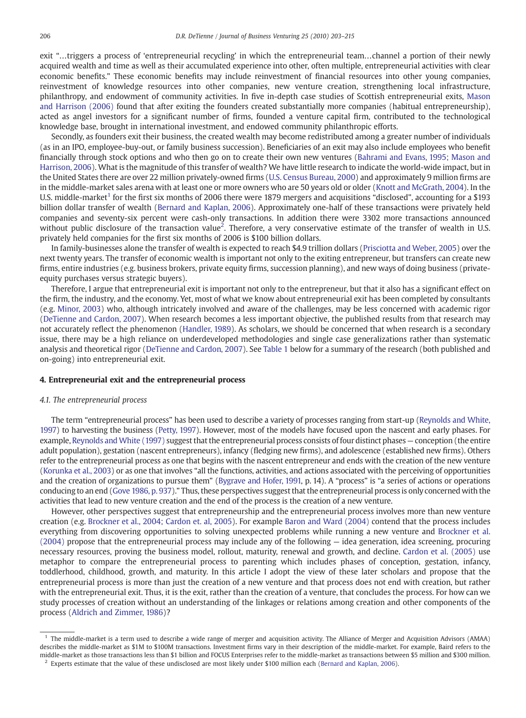exit "…triggers a process of 'entrepreneurial recycling' in which the entrepreneurial team…channel a portion of their newly acquired wealth and time as well as their accumulated experience into other, often multiple, entrepreneurial activities with clear economic benefits." These economic benefits may include reinvestment of financial resources into other young companies, reinvestment of knowledge resources into other companies, new venture creation, strengthening local infrastructure, philanthropy, and endowment of community activities. In five in-depth case studies of Scottish entrepreneurial exits, [Mason](#page-11-0) [and Harrison \(2006\)](#page-11-0) found that after exiting the founders created substantially more companies (habitual entrepreneurship), acted as angel investors for a significant number of firms, founded a venture capital firm, contributed to the technological knowledge base, brought in international investment, and endowed community philanthropic efforts.

Secondly, as founders exit their business, the created wealth may become redistributed among a greater number of individuals (as in an IPO, employee-buy-out, or family business succession). Beneficiaries of an exit may also include employees who benefit financially through stock options and who then go on to create their own new ventures [\(Bahrami and Evans, 1995; Mason and](#page-10-0) [Harrison, 2006\)](#page-10-0). What is the magnitude of this transfer of wealth? We have little research to indicate the world-wide impact, but in the United States there are over 22 million privately-owned firms [\(U.S. Census Bureau, 2000\)](#page-12-0) and approximately 9 million firms are in the middle-market sales arena with at least one or more owners who are 50 years old or older [\(Knott and McGrath, 2004\)](#page-11-0). In the U.S. middle-market<sup>1</sup> for the first six months of 2006 there were 1879 mergers and acquisitions "disclosed", accounting for a \$193 billion dollar transfer of wealth [\(Bernard and Kaplan, 2006](#page-11-0)). Approximately one-half of these transactions were privately held companies and seventy-six percent were cash-only transactions. In addition there were 3302 more transactions announced without public disclosure of the transaction value<sup>2</sup>. Therefore, a very conservative estimate of the transfer of wealth in U.S. privately held companies for the first six months of 2006 is \$100 billion dollars.

In family-businesses alone the transfer of wealth is expected to reach \$4.9 trillion dollars ([Prisciotta and Weber, 2005\)](#page-12-0) over the next twenty years. The transfer of economic wealth is important not only to the exiting entrepreneur, but transfers can create new firms, entire industries (e.g. business brokers, private equity firms, succession planning), and new ways of doing business (privateequity purchases versus strategic buyers).

Therefore, I argue that entrepreneurial exit is important not only to the entrepreneur, but that it also has a significant effect on the firm, the industry, and the economy. Yet, most of what we know about entrepreneurial exit has been completed by consultants (e.g. [Minor, 2003](#page-11-0)) who, although intricately involved and aware of the challenges, may be less concerned with academic rigor ([DeTienne and Cardon, 2007\)](#page-11-0). When research becomes a less important objective, the published results from that research may not accurately reflect the phenomenon ([Handler, 1989](#page-11-0)). As scholars, we should be concerned that when research is a secondary issue, there may be a high reliance on underdeveloped methodologies and single case generalizations rather than systematic analysis and theoretical rigor [\(DeTienne and Cardon, 2007](#page-11-0)). See [Table 1](#page-4-0) below for a summary of the research (both published and on-going) into entrepreneurial exit.

#### 4. Entrepreneurial exit and the entrepreneurial process

#### 4.1. The entrepreneurial process

The term "entrepreneurial process" has been used to describe a variety of processes ranging from start-up [\(Reynolds and White,](#page-12-0) [1997](#page-12-0)) to harvesting the business [\(Petty, 1997\)](#page-12-0). However, most of the models have focused upon the nascent and early phases. For example, [Reynolds and White \(1997\)](#page-12-0) suggest that the entrepreneurial process consists of four distinct phases — conception (the entire adult population), gestation (nascent entrepreneurs), infancy (fledging new firms), and adolescence (established new firms). Others refer to the entrepreneurial process as one that begins with the nascent entrepreneur and ends with the creation of the new venture ([Korunka et al., 2003\)](#page-11-0) or as one that involves "all the functions, activities, and actions associated with the perceiving of opportunities and the creation of organizations to pursue them" [\(Bygrave and Hofer, 1991,](#page-11-0) p. 14). A "process" is "a series of actions or operations conducing to an end ([Gove 1986, p. 937\)](#page-11-0)." Thus, these perspectives suggest that the entrepreneurial process is only concerned with the activities that lead to new venture creation and the end of the process is the creation of a new venture.

However, other perspectives suggest that entrepreneurship and the entrepreneurial process involves more than new venture creation (e.g. [Brockner et al., 2004; Cardon et. al, 2005](#page-11-0)). For example [Baron and Ward \(2004\)](#page-11-0) contend that the process includes everything from discovering opportunities to solving unexpected problems while running a new venture and [Brockner et al.](#page-11-0) [\(2004\)](#page-11-0) propose that the entrepreneurial process may include any of the following — idea generation, idea screening, procuring necessary resources, proving the business model, rollout, maturity, renewal and growth, and decline. [Cardon et al. \(2005\)](#page-11-0) use metaphor to compare the entrepreneurial process to parenting which includes phases of conception, gestation, infancy, toddlerhood, childhood, growth, and maturity. In this article I adopt the view of these later scholars and propose that the entrepreneurial process is more than just the creation of a new venture and that process does not end with creation, but rather with the entrepreneurial exit. Thus, it is the exit, rather than the creation of a venture, that concludes the process. For how can we study processes of creation without an understanding of the linkages or relations among creation and other components of the process [\(Aldrich and Zimmer, 1986\)](#page-10-0)?

<sup>&</sup>lt;sup>1</sup> The middle-market is a term used to describe a wide range of merger and acquisition activity. The Alliance of Merger and Acquisition Advisors (AMAA) describes the middle-market as \$1M to \$100M transactions. Investment firms vary in their description of the middle-market. For example, Baird refers to the middle-market as those transactions less than \$1 billion and FOCUS Enterprises refer to the middle-market as transactions between \$5 million and \$300 million.  $2$  Experts estimate that the value of these undisclosed are most likely under \$100 million each ([Bernard and Kaplan, 2006\)](#page-11-0).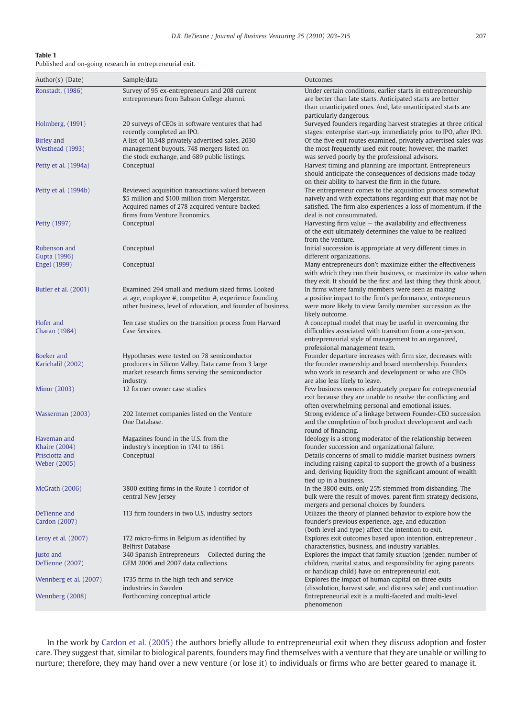### <span id="page-4-0"></span>Table 1

Published and on-going research in entrepreneurial exit.

| Author(s) (Date)                                                      | Sample/data                                                                                                                                                                          | Outcomes                                                                                                                                                                                                                                                                                                     |
|-----------------------------------------------------------------------|--------------------------------------------------------------------------------------------------------------------------------------------------------------------------------------|--------------------------------------------------------------------------------------------------------------------------------------------------------------------------------------------------------------------------------------------------------------------------------------------------------------|
| Ronstadt, (1986)                                                      | Survey of 95 ex-entrepreneurs and 208 current<br>entrepreneurs from Babson College alumni.                                                                                           | Under certain conditions, earlier starts in entrepreneurship<br>are better than late starts. Anticipated starts are better<br>than unanticipated ones. And, late unanticipated starts are                                                                                                                    |
| Holmberg, (1991)                                                      | 20 surveys of CEOs in software ventures that had<br>recently completed an IPO.                                                                                                       | particularly dangerous.<br>Surveyed founders regarding harvest strategies at three critical<br>stages: enterprise start-up, immediately prior to IPO, after IPO.                                                                                                                                             |
| <b>Birley and</b><br>Westhead (1993)                                  | A list of 10,348 privately advertised sales, 2030<br>management buyouts, 748 mergers listed on                                                                                       | Of the five exit routes examined, privately advertised sales was<br>the most frequently used exit route; however, the market                                                                                                                                                                                 |
| Petty et al. (1994a)                                                  | the stock exchange, and 689 public listings.<br>Conceptual                                                                                                                           | was served poorly by the professional advisors.<br>Harvest timing and planning are important. Entrepreneurs<br>should anticipate the consequences of decisions made today<br>on their ability to harvest the firm in the future.                                                                             |
| Petty et al. (1994b)                                                  | Reviewed acquisition transactions valued between<br>\$5 million and \$100 million from Mergerstat.<br>Acquired names of 278 acquired venture-backed<br>firms from Venture Economics. | The entrepreneur comes to the acquisition process somewhat<br>naively and with expectations regarding exit that may not be<br>satisfied. The firm also experiences a loss of momentum, if the<br>deal is not consummated.                                                                                    |
| Petty (1997)                                                          | Conceptual                                                                                                                                                                           | Harvesting firm value - the availability and effectiveness<br>of the exit ultimately determines the value to be realized<br>from the venture.                                                                                                                                                                |
| Rubenson and<br>Gupta (1996)                                          | Conceptual                                                                                                                                                                           | Initial succession is appropriate at very different times in<br>different organizations.                                                                                                                                                                                                                     |
| Engel (1999)                                                          | Conceptual                                                                                                                                                                           | Many entrepreneurs don't maximize either the effectiveness<br>with which they run their business, or maximize its value wher<br>they exit. It should be the first and last thing they think about.                                                                                                           |
| Butler et al. (2001)                                                  | Examined 294 small and medium sized firms. Looked<br>at age, employee #, competitor #, experience founding<br>other business, level of education, and founder of business.           | In firms where family members were seen as making<br>a positive impact to the firm's performance, entrepreneurs<br>were more likely to view family member succession as the<br>likely outcome.                                                                                                               |
| Hofer and<br>Charan (1984)                                            | Ten case studies on the transition process from Harvard<br>Case Services.                                                                                                            | A conceptual model that may be useful in overcoming the<br>difficulties associated with transition from a one-person,<br>entrepreneurial style of management to an organized,<br>professional management team.                                                                                               |
| <b>Boeker</b> and<br>Karichalil (2002)                                | Hypotheses were tested on 78 semiconductor<br>producers in Silicon Valley. Data came from 3 large<br>market research firms serving the semiconductor                                 | Founder departure increases with firm size, decreases with<br>the founder ownership and board membership. Founders<br>who work in research and development or who are CEOs                                                                                                                                   |
| Minor (2003)                                                          | industry.<br>12 former owner case studies                                                                                                                                            | are also less likely to leave.<br>Few business owners adequately prepare for entrepreneurial<br>exit because they are unable to resolve the conflicting and<br>often overwhelming personal and emotional issues.                                                                                             |
| Wasserman (2003)                                                      | 202 Internet companies listed on the Venture<br>One Database.                                                                                                                        | Strong evidence of a linkage between Founder-CEO succession<br>and the completion of both product development and each<br>round of financing.                                                                                                                                                                |
| Haveman and<br><b>Khaire</b> (2004)<br>Prisciotta and<br>Weber (2005) | Magazines found in the U.S. from the<br>industry's inception in 1741 to 1861.<br>Conceptual                                                                                          | Ideology is a strong moderator of the relationship between<br>founder succession and organizational failure.<br>Details concerns of small to middle-market business owners<br>including raising capital to support the growth of a business<br>and, deriving liquidity from the significant amount of wealth |
| <b>McGrath</b> (2006)                                                 | 3800 exiting firms in the Route 1 corridor of<br>central New Jersey                                                                                                                  | tied up in a business.<br>In the 3800 exits, only 25% stemmed from disbanding. The<br>bulk were the result of moves, parent firm strategy decisions,<br>mergers and personal choices by founders.                                                                                                            |
| DeTienne and<br>Cardon (2007)                                         | 113 firm founders in two U.S. industry sectors                                                                                                                                       | Utilizes the theory of planned behavior to explore how the<br>founder's previous experience, age, and education<br>(both level and type) affect the intention to exit.                                                                                                                                       |
| Leroy et al. (2007)<br>Justo and                                      | 172 micro-firms in Belgium as identified by<br>Belfirst Database<br>340 Spanish Entrepreneurs - Collected during the                                                                 | Explores exit outcomes based upon intention, entrepreneur,<br>characteristics, business, and industry variables.<br>Explores the impact that family situation (gender, number of                                                                                                                             |
| DeTienne (2007)                                                       | GEM 2006 and 2007 data collections                                                                                                                                                   | children, marital status, and responsibility for aging parents<br>or handicap child) have on entrepreneurial exit.                                                                                                                                                                                           |
| Wennberg et al. (2007)                                                | 1735 firms in the high tech and service<br>industries in Sweden                                                                                                                      | Explores the impact of human capital on three exits<br>(dissolution, harvest sale, and distress sale) and continuation                                                                                                                                                                                       |
| Wennberg (2008)                                                       | Forthcoming conceptual article                                                                                                                                                       | Entrepreneurial exit is a multi-faceted and multi-level<br>phenomenon                                                                                                                                                                                                                                        |

In the work by [Cardon et al. \(2005\)](#page-11-0) the authors briefly allude to entrepreneurial exit when they discuss adoption and foster care. They suggest that, similar to biological parents, founders may find themselves with a venture that they are unable or willing to nurture; therefore, they may hand over a new venture (or lose it) to individuals or firms who are better geared to manage it.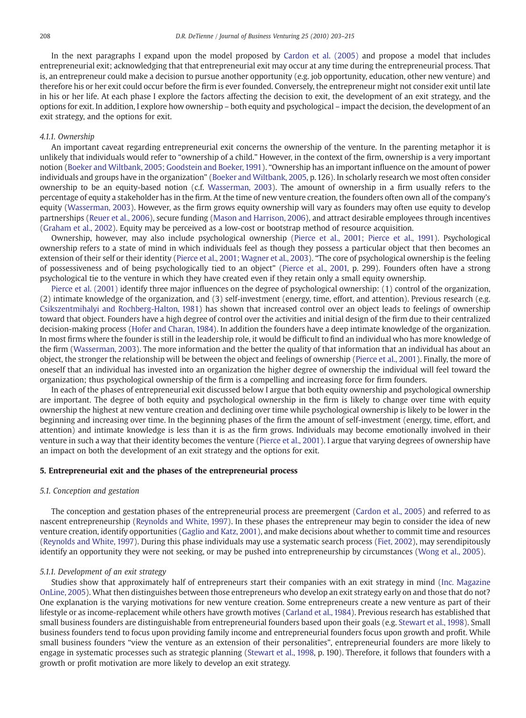In the next paragraphs I expand upon the model proposed by [Cardon et al. \(2005\)](#page-11-0) and propose a model that includes entrepreneurial exit; acknowledging that that entrepreneurial exit may occur at any time during the entrepreneurial process. That is, an entrepreneur could make a decision to pursue another opportunity (e.g. job opportunity, education, other new venture) and therefore his or her exit could occur before the firm is ever founded. Conversely, the entrepreneur might not consider exit until late in his or her life. At each phase I explore the factors affecting the decision to exit, the development of an exit strategy, and the options for exit. In addition, I explore how ownership – both equity and psychological – impact the decision, the development of an exit strategy, and the options for exit.

#### 4.1.1. Ownership

An important caveat regarding entrepreneurial exit concerns the ownership of the venture. In the parenting metaphor it is unlikely that individuals would refer to "ownership of a child." However, in the context of the firm, ownership is a very important notion [\(Boeker and Wiltbank, 2005; Goodstein and Boeker, 1991](#page-11-0)). "Ownership has an important influence on the amount of power individuals and groups have in the organization" ([Boeker and Wiltbank, 2005](#page-11-0), p. 126). In scholarly research we most often consider ownership to be an equity-based notion (c.f. [Wasserman, 2003\)](#page-12-0). The amount of ownership in a firm usually refers to the percentage of equity a stakeholder has in the firm. At the time of new venture creation, the founders often own all of the company's equity [\(Wasserman, 2003](#page-12-0)). However, as the firm grows equity ownership will vary as founders may often use equity to develop partnerships ([Reuer et al., 2006\)](#page-12-0), secure funding ([Mason and Harrison, 2006](#page-11-0)), and attract desirable employees through incentives ([Graham et al., 2002](#page-11-0)). Equity may be perceived as a low-cost or bootstrap method of resource acquisition.

Ownership, however, may also include psychological ownership ([Pierce et al., 2001; Pierce et al., 1991](#page-12-0)). Psychological ownership refers to a state of mind in which individuals feel as though they possess a particular object that then becomes an extension of their self or their identity ([Pierce et al., 2001; Wagner et al., 2003](#page-12-0)). "The core of psychological ownership is the feeling of possessiveness and of being psychologically tied to an object" [\(Pierce et al., 2001,](#page-12-0) p. 299). Founders often have a strong psychological tie to the venture in which they have created even if they retain only a small equity ownership.

[Pierce et al. \(2001\)](#page-12-0) identify three major influences on the degree of psychological ownership: (1) control of the organization, (2) intimate knowledge of the organization, and (3) self-investment (energy, time, effort, and attention). Previous research (e.g. [Csikszentmihalyi and Rochberg-Halton, 1981\)](#page-11-0) has shown that increased control over an object leads to feelings of ownership toward that object. Founders have a high degree of control over the activities and initial design of the firm due to their centralized decision-making process [\(Hofer and Charan, 1984\)](#page-11-0). In addition the founders have a deep intimate knowledge of the organization. In most firms where the founder is still in the leadership role, it would be difficult to find an individual who has more knowledge of the firm [\(Wasserman, 2003\)](#page-12-0). The more information and the better the quality of that information that an individual has about an object, the stronger the relationship will be between the object and feelings of ownership [\(Pierce et al., 2001](#page-12-0)). Finally, the more of oneself that an individual has invested into an organization the higher degree of ownership the individual will feel toward the organization; thus psychological ownership of the firm is a compelling and increasing force for firm founders.

In each of the phases of entrepreneurial exit discussed below I argue that both equity ownership and psychological ownership are important. The degree of both equity and psychological ownership in the firm is likely to change over time with equity ownership the highest at new venture creation and declining over time while psychological ownership is likely to be lower in the beginning and increasing over time. In the beginning phases of the firm the amount of self-investment (energy, time, effort, and attention) and intimate knowledge is less than it is as the firm grows. Individuals may become emotionally involved in their venture in such a way that their identity becomes the venture ([Pierce et al., 2001](#page-12-0)). I argue that varying degrees of ownership have an impact on both the development of an exit strategy and the options for exit.

#### 5. Entrepreneurial exit and the phases of the entrepreneurial process

#### 5.1. Conception and gestation

The conception and gestation phases of the entrepreneurial process are preemergent [\(Cardon et al., 2005\)](#page-11-0) and referred to as nascent entrepreneurship ([Reynolds and White, 1997\)](#page-12-0). In these phases the entrepreneur may begin to consider the idea of new venture creation, identify opportunities [\(Gaglio and Katz, 2001](#page-11-0)), and make decisions about whether to commit time and resources ([Reynolds and White, 1997\)](#page-12-0). During this phase individuals may use a systematic search process ([Fiet, 2002\)](#page-11-0), may serendipitously identify an opportunity they were not seeking, or may be pushed into entrepreneurship by circumstances ([Wong et al., 2005](#page-12-0)).

#### 5.1.1. Development of an exit strategy

Studies show that approximately half of entrepreneurs start their companies with an exit strategy in mind ([Inc. Magazine](#page-11-0) [OnLine, 2005\)](#page-11-0). What then distinguishes between those entrepreneurs who develop an exit strategy early on and those that do not? One explanation is the varying motivations for new venture creation. Some entrepreneurs create a new venture as part of their lifestyle or as income-replacement while others have growth motives ([Carland et al., 1984](#page-11-0)). Previous research has established that small business founders are distinguishable from entrepreneurial founders based upon their goals (e.g. [Stewart et al., 1998](#page-12-0)). Small business founders tend to focus upon providing family income and entrepreneurial founders focus upon growth and profit. While small business founders "view the venture as an extension of their personalities", entrepreneurial founders are more likely to engage in systematic processes such as strategic planning [\(Stewart et al., 1998,](#page-12-0) p. 190). Therefore, it follows that founders with a growth or profit motivation are more likely to develop an exit strategy.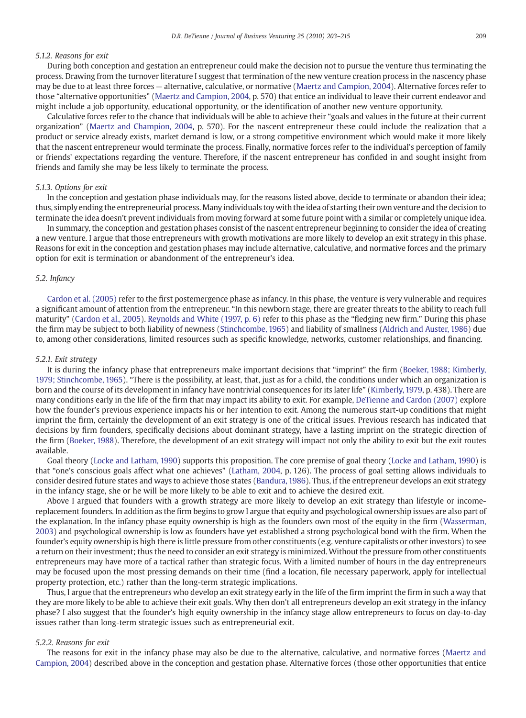#### 5.1.2. Reasons for exit

During both conception and gestation an entrepreneur could make the decision not to pursue the venture thus terminating the process. Drawing from the turnover literature I suggest that termination of the new venture creation process in the nascency phase may be due to at least three forces — alternative, calculative, or normative ([Maertz and Campion, 2004](#page-11-0)). Alternative forces refer to those "alternative opportunities" [\(Maertz and Campion, 2004,](#page-11-0) p. 570) that entice an individual to leave their current endeavor and might include a job opportunity, educational opportunity, or the identification of another new venture opportunity.

Calculative forces refer to the chance that individuals will be able to achieve their "goals and values in the future at their current organization" ([Maertz and Champion, 2004](#page-11-0), p. 570). For the nascent entrepreneur these could include the realization that a product or service already exists, market demand is low, or a strong competitive environment which would make it more likely that the nascent entrepreneur would terminate the process. Finally, normative forces refer to the individual's perception of family or friends' expectations regarding the venture. Therefore, if the nascent entrepreneur has confided in and sought insight from friends and family she may be less likely to terminate the process.

#### 5.1.3. Options for exit

In the conception and gestation phase individuals may, for the reasons listed above, decide to terminate or abandon their idea; thus, simply ending the entrepreneurial process. Many individuals toy with the idea of starting their own venture and the decision to terminate the idea doesn't prevent individuals from moving forward at some future point with a similar or completely unique idea.

In summary, the conception and gestation phases consist of the nascent entrepreneur beginning to consider the idea of creating a new venture. I argue that those entrepreneurs with growth motivations are more likely to develop an exit strategy in this phase. Reasons for exit in the conception and gestation phases may include alternative, calculative, and normative forces and the primary option for exit is termination or abandonment of the entrepreneur's idea.

#### 5.2. Infancy

[Cardon et al. \(2005\)](#page-11-0) refer to the first postemergence phase as infancy. In this phase, the venture is very vulnerable and requires a significant amount of attention from the entrepreneur. "In this newborn stage, there are greater threats to the ability to reach full maturity" ([Cardon et al., 2005\)](#page-11-0). [Reynolds and White \(1997, p. 6\)](#page-12-0) refer to this phase as the "fledging new firm." During this phase the firm may be subject to both liability of newness ([Stinchcombe, 1965\)](#page-12-0) and liability of smallness [\(Aldrich and Auster, 1986](#page-10-0)) due to, among other considerations, limited resources such as specific knowledge, networks, customer relationships, and financing.

#### 5.2.1. Exit strategy

It is during the infancy phase that entrepreneurs make important decisions that "imprint" the firm [\(Boeker, 1988; Kimberly,](#page-11-0) [1979; Stinchcombe, 1965\)](#page-11-0). "There is the possibility, at least, that, just as for a child, the conditions under which an organization is born and the course of its development in infancy have nontrivial consequences for its later life" ([Kimberly, 1979](#page-11-0), p. 438). There are many conditions early in the life of the firm that may impact its ability to exit. For example, [DeTienne and Cardon \(2007\)](#page-11-0) explore how the founder's previous experience impacts his or her intention to exit. Among the numerous start-up conditions that might imprint the firm, certainly the development of an exit strategy is one of the critical issues. Previous research has indicated that decisions by firm founders, specifically decisions about dominant strategy, have a lasting imprint on the strategic direction of the firm [\(Boeker, 1988\)](#page-11-0). Therefore, the development of an exit strategy will impact not only the ability to exit but the exit routes available.

Goal theory ([Locke and Latham, 1990\)](#page-11-0) supports this proposition. The core premise of goal theory [\(Locke and Latham, 1990\)](#page-11-0) is that "one's conscious goals affect what one achieves" ([Latham, 2004](#page-11-0), p. 126). The process of goal setting allows individuals to consider desired future states and ways to achieve those states [\(Bandura, 1986](#page-10-0)). Thus, if the entrepreneur develops an exit strategy in the infancy stage, she or he will be more likely to be able to exit and to achieve the desired exit.

Above I argued that founders with a growth strategy are more likely to develop an exit strategy than lifestyle or incomereplacement founders. In addition as the firm begins to grow I argue that equity and psychological ownership issues are also part of the explanation. In the infancy phase equity ownership is high as the founders own most of the equity in the firm ([Wasserman,](#page-12-0) [2003](#page-12-0)) and psychological ownership is low as founders have yet established a strong psychological bond with the firm. When the founder's equity ownership is high there is little pressure from other constituents (e.g. venture capitalists or other investors) to see a return on their investment; thus the need to consider an exit strategy is minimized. Without the pressure from other constituents entrepreneurs may have more of a tactical rather than strategic focus. With a limited number of hours in the day entrepreneurs may be focused upon the most pressing demands on their time (find a location, file necessary paperwork, apply for intellectual property protection, etc.) rather than the long-term strategic implications.

Thus, I argue that the entrepreneurs who develop an exit strategy early in the life of the firm imprint the firm in such a way that they are more likely to be able to achieve their exit goals. Why then don't all entrepreneurs develop an exit strategy in the infancy phase? I also suggest that the founder's high equity ownership in the infancy stage allow entrepreneurs to focus on day-to-day issues rather than long-term strategic issues such as entrepreneurial exit.

#### 5.2.2. Reasons for exit

The reasons for exit in the infancy phase may also be due to the alternative, calculative, and normative forces [\(Maertz and](#page-11-0) [Campion, 2004\)](#page-11-0) described above in the conception and gestation phase. Alternative forces (those other opportunities that entice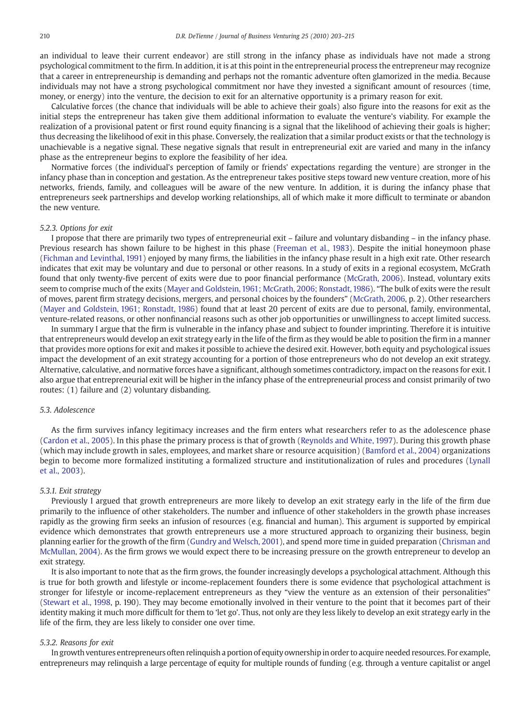an individual to leave their current endeavor) are still strong in the infancy phase as individuals have not made a strong psychological commitment to the firm. In addition, it is at this point in the entrepreneurial process the entrepreneur may recognize that a career in entrepreneurship is demanding and perhaps not the romantic adventure often glamorized in the media. Because individuals may not have a strong psychological commitment nor have they invested a significant amount of resources (time, money, or energy) into the venture, the decision to exit for an alternative opportunity is a primary reason for exit.

Calculative forces (the chance that individuals will be able to achieve their goals) also figure into the reasons for exit as the initial steps the entrepreneur has taken give them additional information to evaluate the venture's viability. For example the realization of a provisional patent or first round equity financing is a signal that the likelihood of achieving their goals is higher; thus decreasing the likelihood of exit in this phase. Conversely, the realization that a similar product exists or that the technology is unachievable is a negative signal. These negative signals that result in entrepreneurial exit are varied and many in the infancy phase as the entrepreneur begins to explore the feasibility of her idea.

Normative forces (the individual's perception of family or friends' expectations regarding the venture) are stronger in the infancy phase than in conception and gestation. As the entrepreneur takes positive steps toward new venture creation, more of his networks, friends, family, and colleagues will be aware of the new venture. In addition, it is during the infancy phase that entrepreneurs seek partnerships and develop working relationships, all of which make it more difficult to terminate or abandon the new venture.

#### 5.2.3. Options for exit

I propose that there are primarily two types of entrepreneurial exit – failure and voluntary disbanding – in the infancy phase. Previous research has shown failure to be highest in this phase [\(Freeman et al., 1983](#page-11-0)). Despite the initial honeymoon phase ([Fichman and Levinthal, 1991\)](#page-11-0) enjoyed by many firms, the liabilities in the infancy phase result in a high exit rate. Other research indicates that exit may be voluntary and due to personal or other reasons. In a study of exits in a regional ecosystem, McGrath found that only twenty-five percent of exits were due to poor financial performance [\(McGrath, 2006\)](#page-11-0). Instead, voluntary exits seem to comprise much of the exits ([Mayer and Goldstein, 1961; McGrath, 2006; Ronstadt, 1986\)](#page-11-0). "The bulk of exits were the result of moves, parent firm strategy decisions, mergers, and personal choices by the founders" [\(McGrath, 2006](#page-11-0), p. 2). Other researchers ([Mayer and Goldstein, 1961; Ronstadt, 1986](#page-11-0)) found that at least 20 percent of exits are due to personal, family, environmental, venture-related reasons, or other nonfinancial reasons such as other job opportunities or unwillingness to accept limited success.

In summary I argue that the firm is vulnerable in the infancy phase and subject to founder imprinting. Therefore it is intuitive that entrepreneurs would develop an exit strategy early in the life of the firm as they would be able to position the firm in a manner that provides more options for exit and makes it possible to achieve the desired exit. However, both equity and psychological issues impact the development of an exit strategy accounting for a portion of those entrepreneurs who do not develop an exit strategy. Alternative, calculative, and normative forces have a significant, although sometimes contradictory, impact on the reasons for exit. I also argue that entrepreneurial exit will be higher in the infancy phase of the entrepreneurial process and consist primarily of two routes: (1) failure and (2) voluntary disbanding.

#### 5.3. Adolescence

As the firm survives infancy legitimacy increases and the firm enters what researchers refer to as the adolescence phase ([Cardon et al., 2005](#page-11-0)). In this phase the primary process is that of growth [\(Reynolds and White, 1997](#page-12-0)). During this growth phase (which may include growth in sales, employees, and market share or resource acquisition) [\(Bamford et al., 2004\)](#page-10-0) organizations begin to become more formalized instituting a formalized structure and institutionalization of rules and procedures ([Lynall](#page-11-0) [et al., 2003\)](#page-11-0).

#### 5.3.1. Exit strategy

Previously I argued that growth entrepreneurs are more likely to develop an exit strategy early in the life of the firm due primarily to the influence of other stakeholders. The number and influence of other stakeholders in the growth phase increases rapidly as the growing firm seeks an infusion of resources (e.g. financial and human). This argument is supported by empirical evidence which demonstrates that growth entrepreneurs use a more structured approach to organizing their business, begin planning earlier for the growth of the firm ([Gundry and Welsch, 2001](#page-11-0)), and spend more time in guided preparation [\(Chrisman and](#page-11-0) [McMullan, 2004\)](#page-11-0). As the firm grows we would expect there to be increasing pressure on the growth entrepreneur to develop an exit strategy.

It is also important to note that as the firm grows, the founder increasingly develops a psychological attachment. Although this is true for both growth and lifestyle or income-replacement founders there is some evidence that psychological attachment is stronger for lifestyle or income-replacement entrepreneurs as they "view the venture as an extension of their personalities" ([Stewart et al., 1998](#page-12-0), p. 190). They may become emotionally involved in their venture to the point that it becomes part of their identity making it much more difficult for them to 'let go'. Thus, not only are they less likely to develop an exit strategy early in the life of the firm, they are less likely to consider one over time.

#### 5.3.2. Reasons for exit

In growth ventures entrepreneurs often relinquish a portion of equity ownership in order to acquire needed resources. For example, entrepreneurs may relinquish a large percentage of equity for multiple rounds of funding (e.g. through a venture capitalist or angel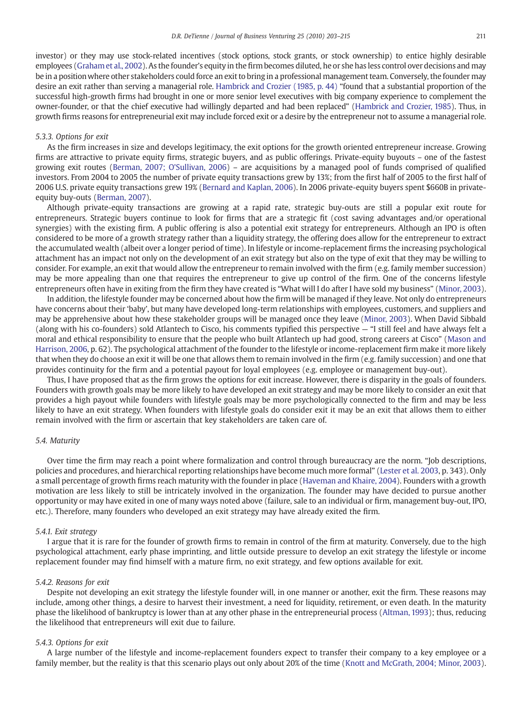investor) or they may use stock-related incentives (stock options, stock grants, or stock ownership) to entice highly desirable employees ([Graham et al., 2002](#page-11-0)). As the founder's equity in the firm becomes diluted, he or she has less control over decisions and may be in a position where other stakeholders could force an exit to bring in a professional management team. Conversely, the founder may desire an exit rather than serving a managerial role. [Hambrick and Crozier \(1985, p. 44\)](#page-11-0) "found that a substantial proportion of the successful high-growth firms had brought in one or more senior level executives with big company experience to complement the owner-founder, or that the chief executive had willingly departed and had been replaced" [\(Hambrick and Crozier, 1985\)](#page-11-0). Thus, in growth firms reasons for entrepreneurial exit may include forced exit or a desire by the entrepreneur not to assume a managerial role.

#### 5.3.3. Options for exit

As the firm increases in size and develops legitimacy, the exit options for the growth oriented entrepreneur increase. Growing firms are attractive to private equity firms, strategic buyers, and as public offerings. Private-equity buyouts – one of the fastest growing exit routes ([Berman, 2007; O](#page-11-0)'Sullivan, 2006) – are acquisitions by a managed pool of funds comprised of qualified investors. From 2004 to 2005 the number of private equity transactions grew by 13%; from the first half of 2005 to the first half of 2006 U.S. private equity transactions grew 19% ([Bernard and Kaplan, 2006](#page-11-0)). In 2006 private-equity buyers spent \$660B in privateequity buy-outs [\(Berman, 2007](#page-11-0)).

Although private-equity transactions are growing at a rapid rate, strategic buy-outs are still a popular exit route for entrepreneurs. Strategic buyers continue to look for firms that are a strategic fit (cost saving advantages and/or operational synergies) with the existing firm. A public offering is also a potential exit strategy for entrepreneurs. Although an IPO is often considered to be more of a growth strategy rather than a liquidity strategy, the offering does allow for the entrepreneur to extract the accumulated wealth (albeit over a longer period of time). In lifestyle or income-replacement firms the increasing psychological attachment has an impact not only on the development of an exit strategy but also on the type of exit that they may be willing to consider. For example, an exit that would allow the entrepreneur to remain involved with the firm (e.g. family member succession) may be more appealing than one that requires the entrepreneur to give up control of the firm. One of the concerns lifestyle entrepreneurs often have in exiting from the firm they have created is "What will I do after I have sold my business" [\(Minor, 2003\)](#page-11-0).

In addition, the lifestyle founder may be concerned about how the firm will be managed if they leave. Not only do entrepreneurs have concerns about their 'baby', but many have developed long-term relationships with employees, customers, and suppliers and may be apprehensive about how these stakeholder groups will be managed once they leave ([Minor, 2003](#page-11-0)). When David Sibbald (along with his co-founders) sold Atlantech to Cisco, his comments typified this perspective — "I still feel and have always felt a moral and ethical responsibility to ensure that the people who built Atlantech up had good, strong careers at Cisco" [\(Mason and](#page-11-0) [Harrison, 2006](#page-11-0), p. 62). The psychological attachment of the founder to the lifestyle or income-replacement firm make it more likely that when they do choose an exit it will be one that allows them to remain involved in the firm (e.g. family succession) and one that provides continuity for the firm and a potential payout for loyal employees (e.g. employee or management buy-out).

Thus, I have proposed that as the firm grows the options for exit increase. However, there is disparity in the goals of founders. Founders with growth goals may be more likely to have developed an exit strategy and may be more likely to consider an exit that provides a high payout while founders with lifestyle goals may be more psychologically connected to the firm and may be less likely to have an exit strategy. When founders with lifestyle goals do consider exit it may be an exit that allows them to either remain involved with the firm or ascertain that key stakeholders are taken care of.

#### 5.4. Maturity

Over time the firm may reach a point where formalization and control through bureaucracy are the norm. "Job descriptions, policies and procedures, and hierarchical reporting relationships have become much more formal" [\(Lester et al. 2003,](#page-11-0) p. 343). Only a small percentage of growth firms reach maturity with the founder in place [\(Haveman and Khaire, 2004](#page-11-0)). Founders with a growth motivation are less likely to still be intricately involved in the organization. The founder may have decided to pursue another opportunity or may have exited in one of many ways noted above (failure, sale to an individual or firm, management buy-out, IPO, etc.). Therefore, many founders who developed an exit strategy may have already exited the firm.

#### 5.4.1. Exit strategy

I argue that it is rare for the founder of growth firms to remain in control of the firm at maturity. Conversely, due to the high psychological attachment, early phase imprinting, and little outside pressure to develop an exit strategy the lifestyle or income replacement founder may find himself with a mature firm, no exit strategy, and few options available for exit.

#### 5.4.2. Reasons for exit

Despite not developing an exit strategy the lifestyle founder will, in one manner or another, exit the firm. These reasons may include, among other things, a desire to harvest their investment, a need for liquidity, retirement, or even death. In the maturity phase the likelihood of bankruptcy is lower than at any other phase in the entrepreneurial process ([Altman, 1993](#page-10-0)); thus, reducing the likelihood that entrepreneurs will exit due to failure.

#### 5.4.3. Options for exit

A large number of the lifestyle and income-replacement founders expect to transfer their company to a key employee or a family member, but the reality is that this scenario plays out only about 20% of the time [\(Knott and McGrath, 2004; Minor, 2003\)](#page-11-0).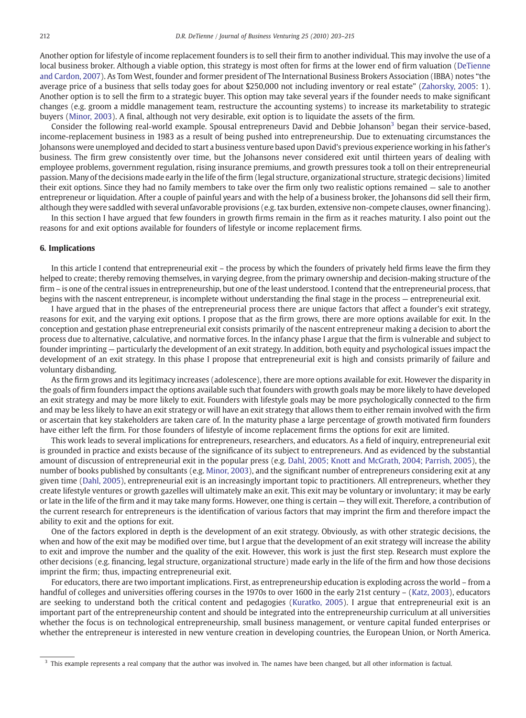Another option for lifestyle of income replacement founders is to sell their firm to another individual. This may involve the use of a local business broker. Although a viable option, this strategy is most often for firms at the lower end of firm valuation [\(DeTienne](#page-11-0) [and Cardon, 2007](#page-11-0)). As Tom West, founder and former president of The International Business Brokers Association (IBBA) notes "the average price of a business that sells today goes for about \$250,000 not including inventory or real estate" ([Zahorsky, 2005](#page-12-0): 1). Another option is to sell the firm to a strategic buyer. This option may take several years if the founder needs to make significant changes (e.g. groom a middle management team, restructure the accounting systems) to increase its marketability to strategic buyers [\(Minor, 2003\)](#page-11-0). A final, although not very desirable, exit option is to liquidate the assets of the firm.

Consider the following real-world example. Spousal entrepreneurs David and Debbie Johanson<sup>3</sup> began their service-based, income-replacement business in 1983 as a result of being pushed into entrepreneurship. Due to extenuating circumstances the Johansons were unemployed and decided to start a business venture based upon David's previous experience working in his father's business. The firm grew consistently over time, but the Johansons never considered exit until thirteen years of dealing with employee problems, government regulation, rising insurance premiums, and growth pressures took a toll on their entrepreneurial passion. Many of the decisions made early in the life of the firm (legal structure, organizational structure, strategic decisions) limited their exit options. Since they had no family members to take over the firm only two realistic options remained — sale to another entrepreneur or liquidation. After a couple of painful years and with the help of a business broker, the Johansons did sell their firm, although they were saddled with several unfavorable provisions (e.g. tax burden, extensive non-compete clauses, owner financing).

In this section I have argued that few founders in growth firms remain in the firm as it reaches maturity. I also point out the reasons for and exit options available for founders of lifestyle or income replacement firms.

#### 6. Implications

In this article I contend that entrepreneurial exit – the process by which the founders of privately held firms leave the firm they helped to create; thereby removing themselves, in varying degree, from the primary ownership and decision-making structure of the firm – is one of the central issues in entrepreneurship, but one of the least understood. I contend that the entrepreneurial process, that begins with the nascent entrepreneur, is incomplete without understanding the final stage in the process — entrepreneurial exit.

I have argued that in the phases of the entrepreneurial process there are unique factors that affect a founder's exit strategy, reasons for exit, and the varying exit options. I propose that as the firm grows, there are more options available for exit. In the conception and gestation phase entrepreneurial exit consists primarily of the nascent entrepreneur making a decision to abort the process due to alternative, calculative, and normative forces. In the infancy phase I argue that the firm is vulnerable and subject to founder imprinting — particularly the development of an exit strategy. In addition, both equity and psychological issues impact the development of an exit strategy. In this phase I propose that entrepreneurial exit is high and consists primarily of failure and voluntary disbanding.

As the firm grows and its legitimacy increases (adolescence), there are more options available for exit. However the disparity in the goals of firm founders impact the options available such that founders with growth goals may be more likely to have developed an exit strategy and may be more likely to exit. Founders with lifestyle goals may be more psychologically connected to the firm and may be less likely to have an exit strategy or will have an exit strategy that allows them to either remain involved with the firm or ascertain that key stakeholders are taken care of. In the maturity phase a large percentage of growth motivated firm founders have either left the firm. For those founders of lifestyle of income replacement firms the options for exit are limited.

This work leads to several implications for entrepreneurs, researchers, and educators. As a field of inquiry, entrepreneurial exit is grounded in practice and exists because of the significance of its subject to entrepreneurs. And as evidenced by the substantial amount of discussion of entrepreneurial exit in the popular press (e.g. [Dahl, 2005; Knott and McGrath, 2004; Parrish, 2005](#page-11-0)), the number of books published by consultants (e.g. [Minor, 2003](#page-11-0)), and the significant number of entrepreneurs considering exit at any given time ([Dahl, 2005\)](#page-11-0), entrepreneurial exit is an increasingly important topic to practitioners. All entrepreneurs, whether they create lifestyle ventures or growth gazelles will ultimately make an exit. This exit may be voluntary or involuntary; it may be early or late in the life of the firm and it may take many forms. However, one thing is certain — they will exit. Therefore, a contribution of the current research for entrepreneurs is the identification of various factors that may imprint the firm and therefore impact the ability to exit and the options for exit.

One of the factors explored in depth is the development of an exit strategy. Obviously, as with other strategic decisions, the when and how of the exit may be modified over time, but I argue that the development of an exit strategy will increase the ability to exit and improve the number and the quality of the exit. However, this work is just the first step. Research must explore the other decisions (e.g. financing, legal structure, organizational structure) made early in the life of the firm and how those decisions imprint the firm; thus, impacting entrepreneurial exit.

For educators, there are two important implications. First, as entrepreneurship education is exploding across the world – from a handful of colleges and universities offering courses in the 1970s to over 1600 in the early 21st century – [\(Katz, 2003\)](#page-11-0), educators are seeking to understand both the critical content and pedagogies ([Kuratko, 2005](#page-11-0)). I argue that entrepreneurial exit is an important part of the entrepreneurship content and should be integrated into the entrepreneurship curriculum at all universities whether the focus is on technological entrepreneurship, small business management, or venture capital funded enterprises or whether the entrepreneur is interested in new venture creation in developing countries, the European Union, or North America.

<sup>&</sup>lt;sup>3</sup> This example represents a real company that the author was involved in. The names have been changed, but all other information is factual.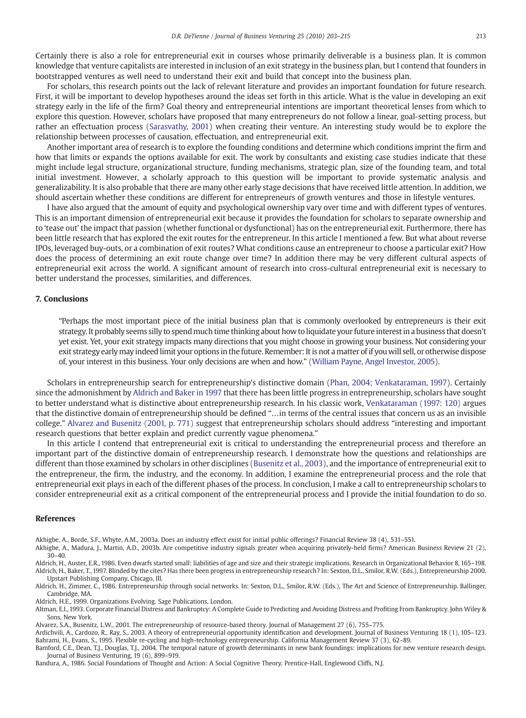<span id="page-10-0"></span>Certainly there is also a role for entrepreneurial exit in courses whose primarily deliverable is a business plan. It is common knowledge that venture capitalists are interested in inclusion of an exit strategy in the business plan, but I contend that founders in bootstrapped ventures as well need to understand their exit and build that concept into the business plan.

For scholars, this research points out the lack of relevant literature and provides an important foundation for future research. First, it will be important to develop hypotheses around the ideas set forth in this article. What is the value in developing an exit strategy early in the life of the firm? Goal theory and entrepreneurial intentions are important theoretical lenses from which to explore this question. However, scholars have proposed that many entrepreneurs do not follow a linear, goal-setting process, but rather an effectuation process ([Sarasvathy, 2001](#page-12-0)) when creating their venture. An interesting study would be to explore the relationship between processes of causation, effectuation, and entrepreneurial exit.

Another important area of research is to explore the founding conditions and determine which conditions imprint the firm and how that limits or expands the options available for exit. The work by consultants and existing case studies indicate that these might include legal structure, organizational structure, funding mechanisms, strategic plan, size of the founding team, and total initial investment. However, a scholarly approach to this question will be important to provide systematic analysis and generalizability. It is also probable that there are many other early stage decisions that have received little attention. In addition, we should ascertain whether these conditions are different for entrepreneurs of growth ventures and those in lifestyle ventures.

I have also argued that the amount of equity and psychological ownership vary over time and with different types of ventures. This is an important dimension of entrepreneurial exit because it provides the foundation for scholars to separate ownership and to 'tease out' the impact that passion (whether functional or dysfunctional) has on the entrepreneurial exit. Furthermore, there has been little research that has explored the exit routes for the entrepreneur. In this article I mentioned a few. But what about reverse IPOs, leveraged buy-outs, or a combination of exit routes? What conditions cause an entrepreneur to choose a particular exit? How does the process of determining an exit route change over time? In addition there may be very different cultural aspects of entrepreneurial exit across the world. A significant amount of research into cross-cultural entrepreneurial exit is necessary to better understand the processes, similarities, and differences.

#### 7. Conclusions

"Perhaps the most important piece of the initial business plan that is commonly overlooked by entrepreneurs is their exit strategy. It probably seems silly to spendmuch time thinking about how to liquidate your future interest in a business that doesn't yet exist. Yet, your exit strategy impacts many directions that you might choose in growing your business. Not considering your exit strategy early may indeed limit your options in the future. Remember: It is not a matter of if you will sell, or otherwise dispose of, your interest in this business. Your only decisions are when and how." [\(William Payne, Angel Investor, 2005\)](#page-12-0).

Scholars in entrepreneurship search for entrepreneurship's distinctive domain ([Phan, 2004; Venkataraman, 1997](#page-12-0)). Certainly since the admonishment by Aldrich and Baker in 1997 that there has been little progress in entrepreneurship, scholars have sought to better understand what is distinctive about entrepreneurship research. In his classic work, [Venkataraman \(1997: 120\)](#page-12-0) argues that the distinctive domain of entrepreneurship should be defined "…in terms of the central issues that concern us as an invisible college." Alvarez and Busenitz (2001, p. 771) suggest that entrepreneurship scholars should address "interesting and important research questions that better explain and predict currently vague phenomena."

In this article I contend that entrepreneurial exit is critical to understanding the entrepreneurial process and therefore an important part of the distinctive domain of entrepreneurship research. I demonstrate how the questions and relationships are different than those examined by scholars in other disciplines [\(Busenitz et al., 2003](#page-11-0)), and the importance of entrepreneurial exit to the entrepreneur, the firm, the industry, and the economy. In addition, I examine the entrepreneurial process and the role that entrepreneurial exit plays in each of the different phases of the process. In conclusion, I make a call to entrepreneurship scholars to consider entrepreneurial exit as a critical component of the entrepreneurial process and I provide the initial foundation to do so.

#### References

Akhigbe, A., Borde, S.F., Whyte, A.M., 2003a. Does an industry effect exist for initial public offerings? Financial Review 38 (4), 531–551.

Akhigbe, A., Madura, J., Martin, A.D., 2003b. Are competitive industry signals greater when acquiring privately-held firms? American Business Review 21 (2),  $30 - 40$ 

Aldrich, H., Auster, E.R., 1986. Even dwarfs started small: liabilities of age and size and their strategic implications. Research in Organizational Behavior 8, 165–198. Aldrich, H., Baker, T., 1997. Blinded by the cites? Has there been progress in entrepreneurship research? In: Sexton, D.L., Smilor, R.W. (Eds.), Entrepreneurship 2000. Upstart Publishing Company, Chicago, Ill.

Aldrich, H., Zimmer, C., 1986. Entrepreneurship through social networks. In: Sexton, D.L., Smilor, R.W. (Eds.), The Art and Science of Entrepreneurship. Ballinger, Cambridge, MA.

Aldrich, H.E., 1999. Organizations Evolving. Sage Publications, London.

Altman, E.I., 1993. Corporate Financial Distress and Bankruptcy: A Complete Guide to Predicting and Avoiding Distress and Profiting From Bankruptcy. John Wiley & Sons, New York.

Alvarez, S.A., Busenitz, L.W., 2001. The entrepreneurship of resource-based theory. Journal of Management 27 (6), 755–775.

Ardichvili, A., Cardozo, R., Ray, S., 2003. A theory of entrepreneurial opportunity identification and development. Journal of Business Venturing 18 (1), 105–123. Bahrami, H., Evans, S., 1995. Flexible re-cycling and high-technology entrepreneurship. California Management Review 37 (3), 62–89.

Bamford, C.E., Dean, T.J., Douglas, T.J., 2004. The temporal nature of growth determinants in new bank foundings: implications for new venture research design. Journal of Business Venturing, 19 (6), 899–919.

Bandura, A., 1986. Social Foundations of Thought and Action: A Social Cognitive Theory. Prentice-Hall, Englewood Cliffs, N.J.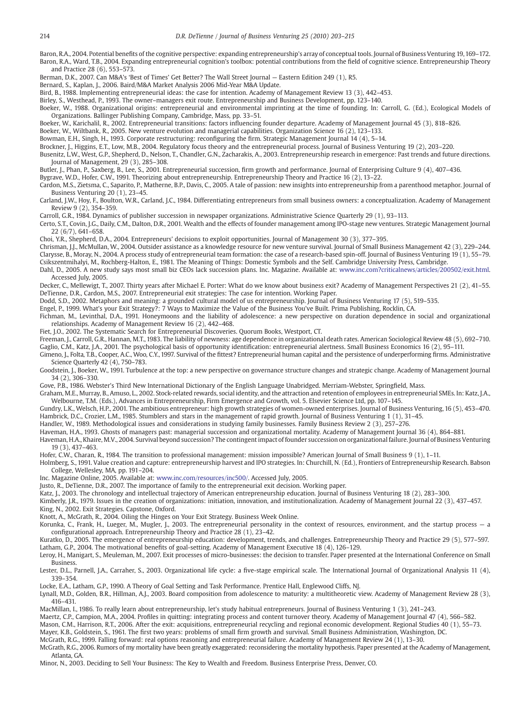- <span id="page-11-0"></span>Baron, R.A., 2004. Potential benefits of the cognitive perspective: expanding entrepreneurship's array of conceptual tools. Journal of Business Venturing 19, 169–172. Baron, R.A., Ward, T.B., 2004. Expanding entrepreneurial cognition's toolbox: potential contributions from the field of cognitive science. Entrepreneurship Theory and Practice 28 (6), 553–573.
- Berman, D.K., 2007. Can M&A's 'Best of Times' Get Better? The Wall Street Journal Eastern Edition 249 (1), R5.
- Bernard, S., Kaplan, J., 2006. Baird/M&A Market Analysis 2006 Mid-Year M&A Update.
- Bird, B., 1988. Implementing entrepreneurial ideas: the case for intention. Academy of Management Review 13 (3), 442–453.
- Birley, S., Westhead, P., 1993. The owner–managers exit route. Entrepreneurship and Business Development, pp. 123–140.
- Boeker, W., 1988. Organizational origins: entrepreneurial and environmental imprinting at the time of founding. In: Carroll, G. (Ed.), Ecological Models of Organizations. Ballinger Publishing Company, Cambridge, Mass, pp. 33–51.
- Boeker, W., Karichalil, R., 2002. Entrepreneurial transitions: factors influencing founder departure. Academy of Management Journal 45 (3), 818–826.
- Boeker, W., Wiltbank, R., 2005. New venture evolution and managerial capabilities. Organization Science 16 (2), 123–133.
- Bowman, E.H., Singh, H., 1993. Corporate restructuring: reconfiguring the firm. Strategic Management Journal 14 (4), 5–14.
- Brockner, J., Higgins, E.T., Low, M.B., 2004. Regulatory focus theory and the entrepreneurial process. Journal of Business Venturing 19 (2), 203–220.
- Busenitz, L.W., West, G.P., Shepherd, D., Nelson, T., Chandler, G.N., Zacharakis, A., 2003. Entrepreneurship research in emergence: Past trends and future directions. Journal of Management, 29 (3), 285–308.
- Butler, J., Phan, P., Saxberg, B., Lee, S., 2001. Entrepreneurial succession, firm growth and performance. Journal of Enterprising Culture 9 (4), 407–436.
- Bygrave, W.D., Hofer, C.W., 1991. Theorizing about entrepreneurship. Entrepreneurship Theory and Practice 16 (2), 13–22.
- Cardon, M.S., Zietsma, C., Saparito, P., Matherne, B.P., Davis, C., 2005. A tale of passion: new insights into entrepreneurship from a parenthood metaphor. Journal of Business Venturing 20 (1), 23–45.
- Carland, J.W., Hoy, F., Boulton, W.R., Carland, J.C., 1984. Differentiating entrepreneurs from small business owners: a conceptualization. Academy of Management Review 9 (2), 354–359.
- Carroll, G.R., 1984. Dynamics of publisher succession in newspaper organizations. Administrative Science Quarterly 29 (1), 93–113.
- Certo, S.T., Covin, J.G., Daily, C.M., Dalton, D.R., 2001. Wealth and the effects of founder management among IPO-stage new ventures. Strategic Management Journal 22 (6/7), 641–658.
- Choi, Y.R., Shepherd, D.A., 2004. Entrepreneurs' decisions to exploit opportunities. Journal of Management 30 (3), 377–395.
- Chrisman, J.J., McMullan, W., 2004. Outsider assistance as a knowledge resource for new venture survival. Journal of Small Business Management 42 (3), 229–244. Clarysse, B., Moray, N., 2004. A process study of entrepreneurial team formation: the case of a research-based spin-off. Journal of Business Venturing 19 (1), 55–79. Csikszentmihalyi, M., Rochberg-Halton, E., 1981. The Meaning of Things: Domestic Symbols and the Self. Cambridge University Press, Cambridge.
- Dahl, D., 2005. A new study says most small biz CEOs lack succession plans. Inc. Magazine. Available at: [www.inc.com?criticalnews/articles/200502/exit.html.](http://www.inc.com?criticalnews/articles/200502/exit.html) Accessed July, 2005.
- Decker, C., Mellewigt, T., 2007. Thirty years after Michael E. Porter: What do we know about business exit? Academy of Management Perspectives 21 (2), 41–55. DeTienne, D.R., Cardon, M.S., 2007. Entrepreneurial exit strategies: The case for intention. Working Paper.
- Dodd, S.D., 2002. Metaphors and meaning: a grounded cultural model of us entrepreneurship. Journal of Business Venturing 17 (5), 519–535.
- Engel, P., 1999. What's your Exit Strategy?: 7 Ways to Maximize the Value of the Business You've Built. Prima Publishing, Rocklin, CA.
- Fichman, M., Levinthal, D.A., 1991. Honeymoons and the liability of adolescence: a new perspective on duration dependence in social and organizational relationships. Academy of Management Review 16 (2), 442–468.
- Fiet, J.O., 2002. The Systematic Search for Entrepreneurial Discoveries. Quorum Books, Westport, CT.
- Freeman, J., Carroll, G.R., Hannan, M.T., 1983. The liability of newness: age dependence in organizational death rates. American Sociological Review 48 (5), 692–710. Gaglio, C.M., Katz, J.A., 2001. The psychological basis of opportunity identification: entrepreneurial alertness. Small Business Economics 16 (2), 95–111.
- Gimeno, J., Folta, T.B., Cooper, A.C., Woo, C.Y., 1997. Survival of the fittest? Entrepreneurial human capital and the persistence of underperforming firms. Administrative Science Quarterly 42 (4), 750–783.
- Goodstein, J., Boeker, W., 1991. Turbulence at the top: a new perspective on governance structure changes and strategic change. Academy of Management Journal 34 (2), 306–330.
- Gove, P.B., 1986. Webster's Third New International Dictionary of the English Language Unabridged. Merriam-Webster, Springfield, Mass.
- Graham, M.E., Murray, B., Amuso, L., 2002. Stock-related rewards, social identity, and the attraction and retention of employees in entrepreneurial SMEs. In: Katz, J.A., Welbourne, T.M. (Eds.), Advances in Entrepreneurship, Firm Emergence and Growth, vol. 5. Elsevier Science Ltd, pp. 107–145.
- Gundry, L.K., Welsch, H.P., 2001. The ambitious entrepreneur: high growth strategies of women-owned enterprises. Journal of Business Venturing, 16 (5), 453–470. Hambrick, D.C., Crozier, L.M., 1985. Stumblers and stars in the management of rapid growth. Journal of Business Venturing 1 (1), 31–45.
- Handler, W., 1989. Methodological issues and considerations in studying family businesses. Family Business Review 2 (3), 257–276.
- Haveman, H.A., 1993. Ghosts of managers past: managerial succession and organizational mortality. Academy of Management Journal 36 (4), 864–881.
- Haveman, H.A., Khaire, M.V., 2004. Survival beyond succession? The contingent impact of founder succession on organizational failure. Journal of Business Venturing 19 (3), 437–463.
- Hofer, C.W., Charan, R., 1984. The transition to professional management: mission impossible? American Journal of Small Business 9 (1), 1–11.
- Holmberg, S., 1991. Value creation and capture: entrepreneurship harvest and IPO strategies. In: Churchill, N. (Ed.), Frontiers of Entrepreneurship Research. Babson College, Wellesley, MA, pp. 191–204.
- Inc. Magazine Online, 2005. Available at: [www.inc.com/resources/inc500/.](http://www.inc.com/resources/inc500/) Accessed July, 2005.
- Justo, R., DeTienne, D.R., 2007. The importance of family to the entrepreneurial exit decision. Working paper.
- Katz, J., 2003. The chronology and intellectual trajectory of American entrepreneurship education. Journal of Business Venturing 18 (2), 283–300.
- Kimberly, J.R., 1979. Issues in the creation of organizations: initiation, innovation, and institutionalization. Academy of Management Journal 22 (3), 437–457.
- King, N., 2002. Exit Strategies. Capstone, Oxford.
- Knott, A., McGrath, R., 2004. Oiling the Hinges on Your Exit Strategy. Business Week Online.
- Korunka, C., Frank, H., Lueger, M., Mugler, J., 2003. The entrepreneurial personality in the context of resources, environment, and the startup process a configurational approach. Entrepreneurship Theory and Practice 28 (1), 23–42.
- Kuratko, D., 2005. The emergence of entrepreneurship education: development, trends, and challenges. Entrepreneurship Theory and Practice 29 (5), 577–597. Latham, G.P., 2004. The motivational benefits of goal-setting. Academy of Management Executive 18 (4), 126–129.
- Leroy, H., Manigart, S., Meuleman, M., 2007. Exit processes of micro-businesses: the decision to transfer. Paper presented at the International Conference on Small Business.
- Lester, D.L., Parnell, J.A., Carraher, S., 2003. Organizational life cycle: a five-stage empirical scale. The International Journal of Organizational Analysis 11 (4), 339–354.
- Locke, E.A., Latham, G.P., 1990. A Theory of Goal Setting and Task Performance. Prentice Hall, Englewood Cliffs, NJ.
- Lynall, M.D., Golden, B.R., Hillman, A.J., 2003. Board composition from adolescence to maturity: a multitheoretic view. Academy of Management Review 28 (3), 416–431.
- MacMillan, I., 1986. To really learn about entrepreneurship, let's study habitual entrepreneurs. Journal of Business Venturing 1 (3), 241–243.
- Maertz, C.P., Campion, M.A., 2004. Profiles in quitting: integrating process and content turnover theory. Academy of Management Journal 47 (4), 566–582.
- Mason, C.M., Harrison, R.T., 2006. After the exit: acquisitions, entrepreneurial recycling and regional economic development. Regional Studies 40 (1), 55–73.
- Mayer, K.B., Goldstein, S., 1961. The first two years: problems of small firm growth and survival. Small Business Administration, Washington, DC.

McGrath, R.G., 1999. Falling forward: real options reasoning and entrepreneurial failure. Academy of Management Review 24 (1), 13–30.

McGrath, R.G., 2006. Rumors of my mortality have been greatly exaggerated: reconsidering the mortality hypothesis. Paper presented at the Academy of Management, Atlanta, GA.

Minor, N., 2003. Deciding to Sell Your Business: The Key to Wealth and Freedom. Business Enterprise Press, Denver, CO.